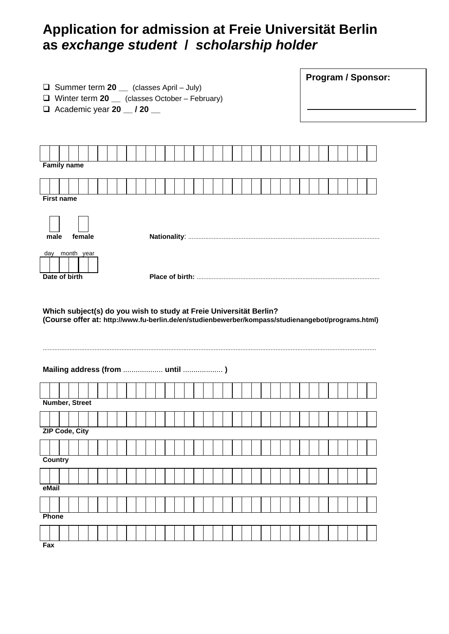# **Application for admission at Freie Universität Berlin as** *exchange student* **/** *scholarship holder*

| $\Box$ Summer term 20 __ (classes April – July)<br>Winter term 20 __ (classes October - February)<br>Q.<br>$\Box$ Academic year 20 $\_\_\_\$ / 20 $\_\_\_\$              | <b>Program / Sponsor:</b> |  |  |  |  |  |  |  |  |
|--------------------------------------------------------------------------------------------------------------------------------------------------------------------------|---------------------------|--|--|--|--|--|--|--|--|
| <b>Family name</b>                                                                                                                                                       |                           |  |  |  |  |  |  |  |  |
| <b>First name</b>                                                                                                                                                        |                           |  |  |  |  |  |  |  |  |
| female<br>male                                                                                                                                                           |                           |  |  |  |  |  |  |  |  |
| day month year<br>Date of birth                                                                                                                                          |                           |  |  |  |  |  |  |  |  |
| Which subject(s) do you wish to study at Freie Universität Berlin?<br>(Course offer at: http://www.fu-berlin.de/en/studienbewerber/kompass/studienangebot/programs.html) |                           |  |  |  |  |  |  |  |  |

## **Mailing address (from** ................... **until** ................... **)**

| <b>Number, Street</b> |                |  |  |  |  |  |  |  |  |  |  |  |  |  |  |  |  |  |
|-----------------------|----------------|--|--|--|--|--|--|--|--|--|--|--|--|--|--|--|--|--|
|                       |                |  |  |  |  |  |  |  |  |  |  |  |  |  |  |  |  |  |
|                       | ZIP Code, City |  |  |  |  |  |  |  |  |  |  |  |  |  |  |  |  |  |
|                       |                |  |  |  |  |  |  |  |  |  |  |  |  |  |  |  |  |  |
| <b>Country</b>        |                |  |  |  |  |  |  |  |  |  |  |  |  |  |  |  |  |  |
|                       |                |  |  |  |  |  |  |  |  |  |  |  |  |  |  |  |  |  |
| eMail                 |                |  |  |  |  |  |  |  |  |  |  |  |  |  |  |  |  |  |
|                       |                |  |  |  |  |  |  |  |  |  |  |  |  |  |  |  |  |  |
| Phone                 |                |  |  |  |  |  |  |  |  |  |  |  |  |  |  |  |  |  |
|                       |                |  |  |  |  |  |  |  |  |  |  |  |  |  |  |  |  |  |
| Fax                   |                |  |  |  |  |  |  |  |  |  |  |  |  |  |  |  |  |  |